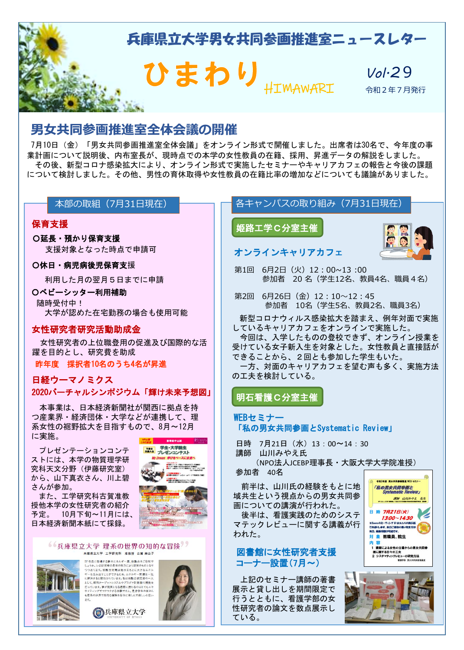

# **男女共同参画推進室全体会議の開催**

7月10日(金)「男女共同参画推進室全体会議」をオンライン形式で開催しました。出席者は30名で、今年度の事 業計画について説明後、内布室長が、現時点での本学の女性教員の在籍、採用、昇進データの解説をしました。 その後、新型コロナ感染拡大により、オンライン形式で実施したセミナーやキャリアカフェの報告と今後の課題 について検討しました。その他、男性の育休取得や女性教員の在籍比率の増加などについても議論がありました。

### 本部の取組(7月31日現在)

### 保育支援

〇延長・預かり保育支援 支援対象となった時点で申請可

### 〇休日・病児病後児保育支援

利用した月の翌月5日までに申請

### 〇ベビーシッター利用補助

随時受付中! 大学が認めた在宅勤務の場合も使用可能

### 女性研究者研究活動助成金

女性研究者の上位職登用の促進及び国際的な活 躍を目的とし、研究費を助成

昨年度 採択者10名のうち4名が昇進

# 日経ウーマノミクス 2020バーチャルシンポジウム「輝け未来予想図」

本事業は、日本経済新聞社が関西に拠点を持 つ産業界・経済団体・大学などが連携して、理 系女性の裾野拡大を目指すもので、8月~12月 に実施。

プレゼンテーションコンテ ストには、本学の物質理学研 究科天文分野(伊藤研究室) から、山下真衣さん、川上碧 さんが参加。

また、工学研究科古賀准教 授他本学の女性研究者の紹介 予定。 10月下旬~11月には、 日本経済新聞本紙にて採録。

#### 66兵庫県立大学 理系の世界の知的な冒険 兵庫県立大学 工学研究科 准教授 古賀 麻由子



いま研究者の長年の努力により現実のものとなります。<br>ます。核融合発展は海水をもとに大きなエネルギー問題を一気<br>み出すことができるため、エネルギー問題を一気<br>ると期待されています。私は核融合研究者の一人<br>科ターゲットシステムやプラズマ計測器の開発を<br>インターワクマスは難です。 暴車型生の密えん て、燃料ターケットシステムやフラスマ計測器の開発を<br>ています。夢が現実となる過程に携わるのはとてもエキ<br>ティングでワクワクする体験ですよ。是非学生の皆さん<br>系の世界で知的な冒険を存分に楽しんで欲しいと思い





<del>予測金</del> 学生・大学院生

<エントリー><br>■京風エントリー用紙にて参加中込(7/20時間)<br>■ブレゼン動画5分以内を連合(6/20時間)<br>■モチーム初介とプレゼン動画をホームベーサから予定) 。<br><予選助に基金><br>■決勝大会選出チームをホームページで発達

# 各キャンパスの取り組み(7月31日現在)

姫路工学Ⅽ分室主催



# オンラインキャリアカフェ

第1回 6月2日(火) 12:00~13:00 参加者 20 名(学生12名、教員4名、職員4名)

第2回 6月26日 (金) 12:10~12:45 参加者 10名(学生5名、教員2名、職員3名)

新型コロナウィルス感染拡大を踏まえ、例年対面で実施 しているキャリアカフェをオンラインで実施した。 今回は、入学したものの登校できず、オンライン授業を 受けている女子新入生を対象とした。女性教員と直接話が できることから、2回とも参加した学生もいた。 一方、対面のキャリアカフェを望む声も多く、実施方法

の工夫を検討している。

### 明石看護Ⅽ分室主催

- WEBセミナー 「私の男女共同参画とSystematic Review」
- 日時 7月21日 (水) 13:00~14:30 講師 山川みやえ氏

(NPO法人JCEBP理事長・大阪大学大学院准授)

### 参加者 40名

前半は、山川氏の経験をもとに地 域共生という視点からの男女共同参 画についての講演が行われた。

後半は、看護実践のためのシステ マテックレビューに関する講義が行 われた。

### 図書館に女性研究者支援 コーナー設置(7月~)

上記のセミナー講師の著書 展示と貸し出しを期間限定で 行うとともに、看護学部の女 性研究者の論文を数点展示し ている。